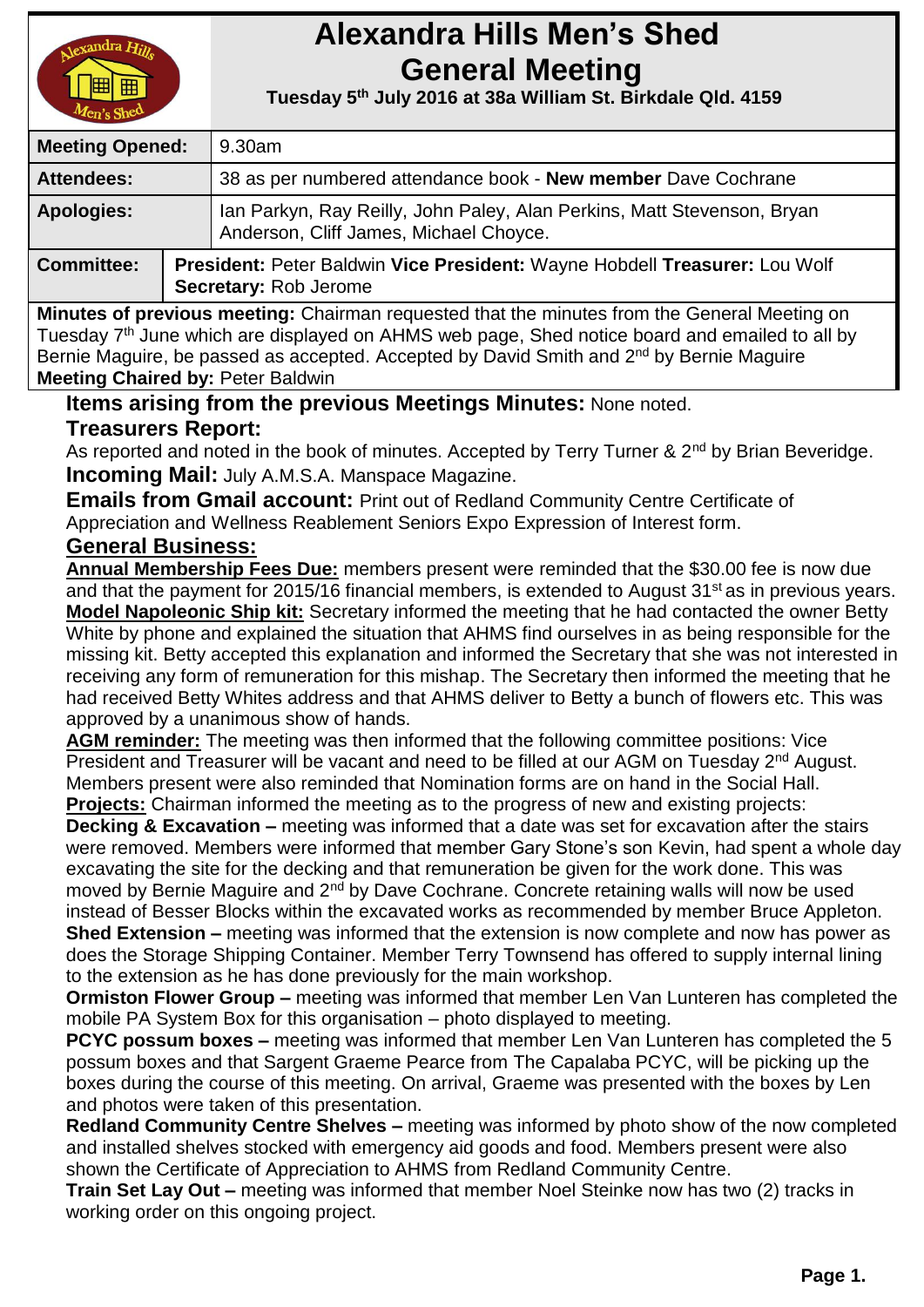

# **Alexandra Hills Men's Shed General Meeting**

 **Tuesday 5 th July 2016 at 38a William St. Birkdale Qld. 4159** 

| <b>Meeting Opened:</b> | 9.30am                                                                                                            |  |
|------------------------|-------------------------------------------------------------------------------------------------------------------|--|
| <b>Attendees:</b>      | 38 as per numbered attendance book - New member Dave Cochrane                                                     |  |
| <b>Apologies:</b>      | Ian Parkyn, Ray Reilly, John Paley, Alan Perkins, Matt Stevenson, Bryan<br>Anderson, Cliff James, Michael Choyce. |  |
| <b>Committee:</b>      | President: Peter Baldwin Vice President: Wayne Hobdell Treasurer: Lou Wolf                                        |  |

**Secretary:** Rob Jerome

**Minutes of previous meeting:** Chairman requested that the minutes from the General Meeting on Tuesday 7<sup>th</sup> June which are displayed on AHMS web page, Shed notice board and emailed to all by Bernie Maguire, be passed as accepted. Accepted by David Smith and 2<sup>nd</sup> by Bernie Maguire **Meeting Chaired by:** Peter Baldwin

#### **Items arising from the previous Meetings Minutes:** None noted. **Treasurers Report:**

As reported and noted in the book of minutes. Accepted by Terry Turner & 2<sup>nd</sup> by Brian Beveridge. **Incoming Mail:** July A.M.S.A. Manspace Magazine.

**Emails from Gmail account:** Print out of Redland Community Centre Certificate of Appreciation and Wellness Reablement Seniors Expo Expression of Interest form.

## **General Business:**

**Annual Membership Fees Due:** members present were reminded that the \$30.00 fee is now due and that the payment for 2015/16 financial members, is extended to August 31<sup>st</sup> as in previous years. **Model Napoleonic Ship kit:** Secretary informed the meeting that he had contacted the owner Betty White by phone and explained the situation that AHMS find ourselves in as being responsible for the missing kit. Betty accepted this explanation and informed the Secretary that she was not interested in receiving any form of remuneration for this mishap. The Secretary then informed the meeting that he had received Betty Whites address and that AHMS deliver to Betty a bunch of flowers etc. This was approved by a unanimous show of hands.

**AGM reminder:** The meeting was then informed that the following committee positions: Vice President and Treasurer will be vacant and need to be filled at our AGM on Tuesday 2<sup>nd</sup> August. Members present were also reminded that Nomination forms are on hand in the Social Hall. **Projects:** Chairman informed the meeting as to the progress of new and existing projects:

**Decking & Excavation –** meeting was informed that a date was set for excavation after the stairs were removed. Members were informed that member Gary Stone's son Kevin, had spent a whole day excavating the site for the decking and that remuneration be given for the work done. This was moved by Bernie Maguire and 2<sup>nd</sup> by Dave Cochrane. Concrete retaining walls will now be used instead of Besser Blocks within the excavated works as recommended by member Bruce Appleton. **Shed Extension –** meeting was informed that the extension is now complete and now has power as

does the Storage Shipping Container. Member Terry Townsend has offered to supply internal lining to the extension as he has done previously for the main workshop.

**Ormiston Flower Group –** meeting was informed that member Len Van Lunteren has completed the mobile PA System Box for this organisation – photo displayed to meeting.

**PCYC possum boxes –** meeting was informed that member Len Van Lunteren has completed the 5 possum boxes and that Sargent Graeme Pearce from The Capalaba PCYC, will be picking up the boxes during the course of this meeting. On arrival, Graeme was presented with the boxes by Len and photos were taken of this presentation.

**Redland Community Centre Shelves –** meeting was informed by photo show of the now completed and installed shelves stocked with emergency aid goods and food. Members present were also shown the Certificate of Appreciation to AHMS from Redland Community Centre.

**Train Set Lay Out –** meeting was informed that member Noel Steinke now has two (2) tracks in working order on this ongoing project.